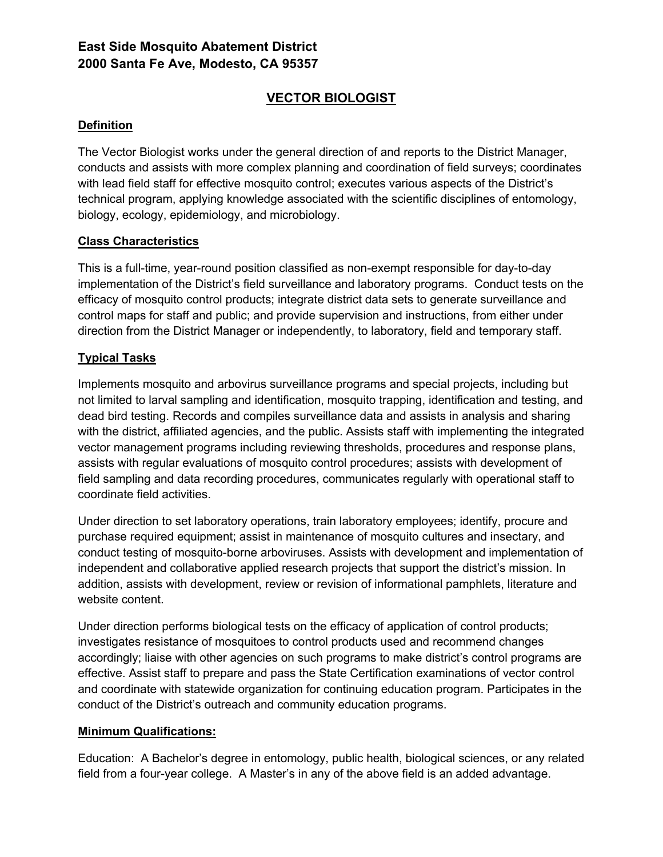## **East Side Mosquito Abatement District 2000 Santa Fe Ave, Modesto, CA 95357**

# **VECTOR BIOLOGIST**

### **Definition**

The Vector Biologist works under the general direction of and reports to the District Manager, conducts and assists with more complex planning and coordination of field surveys; coordinates with lead field staff for effective mosquito control; executes various aspects of the District's technical program, applying knowledge associated with the scientific disciplines of entomology, biology, ecology, epidemiology, and microbiology.

### **Class Characteristics**

This is a full-time, year-round position classified as non-exempt responsible for day-to-day implementation of the District's field surveillance and laboratory programs. Conduct tests on the efficacy of mosquito control products; integrate district data sets to generate surveillance and control maps for staff and public; and provide supervision and instructions, from either under direction from the District Manager or independently, to laboratory, field and temporary staff.

### **Typical Tasks**

Implements mosquito and arbovirus surveillance programs and special projects, including but not limited to larval sampling and identification, mosquito trapping, identification and testing, and dead bird testing. Records and compiles surveillance data and assists in analysis and sharing with the district, affiliated agencies, and the public. Assists staff with implementing the integrated vector management programs including reviewing thresholds, procedures and response plans, assists with regular evaluations of mosquito control procedures; assists with development of field sampling and data recording procedures, communicates regularly with operational staff to coordinate field activities.

Under direction to set laboratory operations, train laboratory employees; identify, procure and purchase required equipment; assist in maintenance of mosquito cultures and insectary, and conduct testing of mosquito-borne arboviruses. Assists with development and implementation of independent and collaborative applied research projects that support the district's mission. In addition, assists with development, review or revision of informational pamphlets, literature and website content.

Under direction performs biological tests on the efficacy of application of control products; investigates resistance of mosquitoes to control products used and recommend changes accordingly; liaise with other agencies on such programs to make district's control programs are effective. Assist staff to prepare and pass the State Certification examinations of vector control and coordinate with statewide organization for continuing education program. Participates in the conduct of the District's outreach and community education programs.

## **Minimum Qualifications:**

Education: A Bachelor's degree in entomology, public health, biological sciences, or any related field from a four-year college. A Master's in any of the above field is an added advantage.